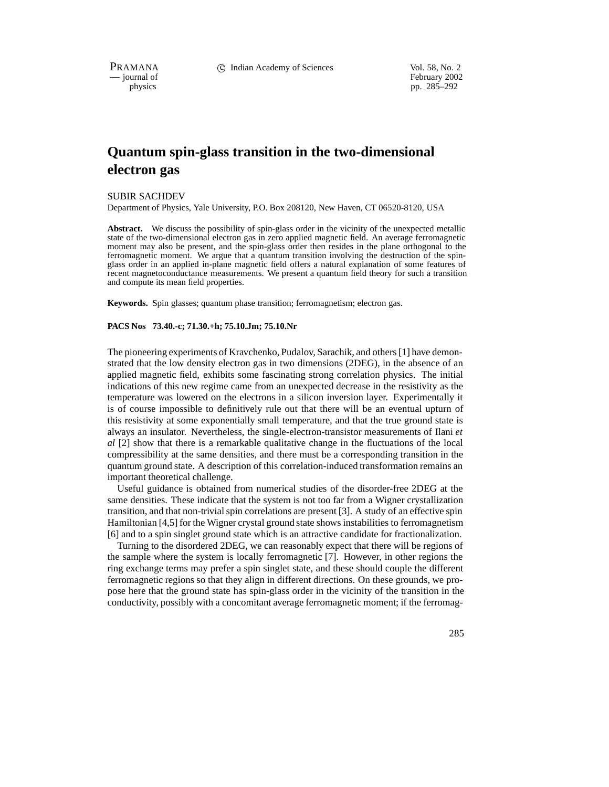PRAMANA 
<sup>C</sup> Indian Academy of Sciences Vol. 58, No. 2<br>
— iournal of February 2002

physics<br>
physics<br>
pp. 285–292 pp. 285–292

# **Quantum spin-glass transition in the two-dimensional electron gas**

SUBIR SACHDEV

Department of Physics, Yale University, P.O. Box 208120, New Haven, CT 06520-8120, USA

**Abstract.** We discuss the possibility of spin-glass order in the vicinity of the unexpected metallic state of the two-dimensional electron gas in zero applied magnetic field. An average ferromagnetic moment may also be present, and the spin-glass order then resides in the plane orthogonal to the ferromagnetic moment. We argue that a quantum transition involving the destruction of the spinglass order in an applied in-plane magnetic field offers a natural explanation of some features of recent magnetoconductance measurements. We present a quantum field theory for such a transition and compute its mean field properties.

**Keywords.** Spin glasses; quantum phase transition; ferromagnetism; electron gas.

## **PACS Nos 73.40.-c; 71.30.+h; 75.10.Jm; 75.10.Nr**

The pioneering experiments of Kravchenko, Pudalov, Sarachik, and others [1] have demonstrated that the low density electron gas in two dimensions (2DEG), in the absence of an applied magnetic field, exhibits some fascinating strong correlation physics. The initial indications of this new regime came from an unexpected decrease in the resistivity as the temperature was lowered on the electrons in a silicon inversion layer. Experimentally it is of course impossible to definitively rule out that there will be an eventual upturn of this resistivity at some exponentially small temperature, and that the true ground state is always an insulator. Nevertheless, the single-electron-transistor measurements of Ilani *et al* [2] show that there is a remarkable qualitative change in the fluctuations of the local compressibility at the same densities, and there must be a corresponding transition in the quantum ground state. A description of this correlation-induced transformation remains an important theoretical challenge.

Useful guidance is obtained from numerical studies of the disorder-free 2DEG at the same densities. These indicate that the system is not too far from a Wigner crystallization transition, and that non-trivial spin correlations are present [3]. A study of an effective spin Hamiltonian [4,5] for the Wigner crystal ground state shows instabilities to ferromagnetism [6] and to a spin singlet ground state which is an attractive candidate for fractionalization.

Turning to the disordered 2DEG, we can reasonably expect that there will be regions of the sample where the system is locally ferromagnetic [7]. However, in other regions the ring exchange terms may prefer a spin singlet state, and these should couple the different ferromagnetic regions so that they align in different directions. On these grounds, we propose here that the ground state has spin-glass order in the vicinity of the transition in the conductivity, possibly with a concomitant average ferromagnetic moment; if the ferromag-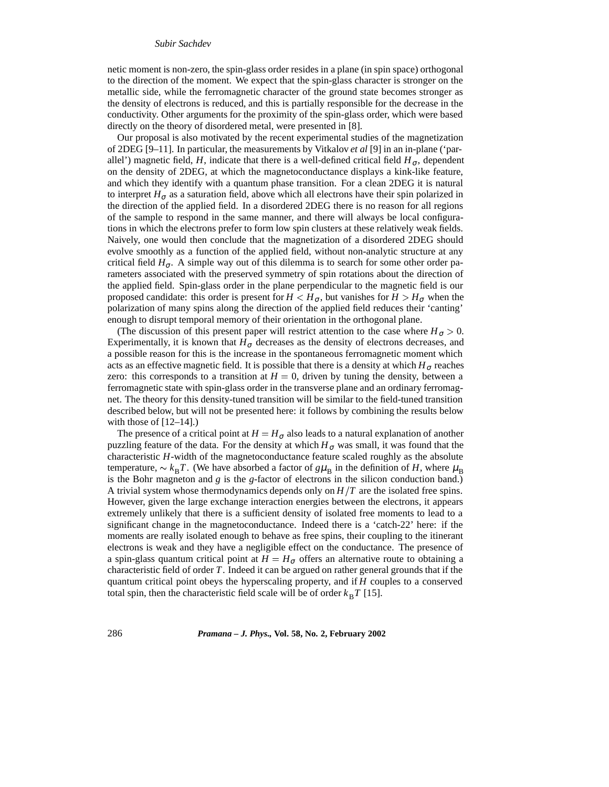#### *Subir Sachdev*

netic moment is non-zero, the spin-glass order resides in a plane (in spin space) orthogonal to the direction of the moment. We expect that the spin-glass character is stronger on the metallic side, while the ferromagnetic character of the ground state becomes stronger as the density of electrons is reduced, and this is partially responsible for the decrease in the conductivity. Other arguments for the proximity of the spin-glass order, which were based directly on the theory of disordered metal, were presented in [8].

Our proposal is also motivated by the recent experimental studies of the magnetization of 2DEG [9–11]. In particular, the measurements by Vitkalov *et al* [9] in an in-plane ('parallel') magnetic field, *H*, indicate that there is a well-defined critical field  $H_{\sigma}$ , dependent on the density of 2DEG, at which the magnetoconductance displays a kink-like feature, and which they identify with a quantum phase transition. For a clean 2DEG it is natural to interpret  $H_{\sigma}$  as a saturation field, above which all electrons have their spin polarized in the direction of the applied field. In a disordered 2DEG there is no reason for all regions of the sample to respond in the same manner, and there will always be local configurations in which the electrons prefer to form low spin clusters at these relatively weak fields. Naively, one would then conclude that the magnetization of a disordered 2DEG should evolve smoothly as a function of the applied field, without non-analytic structure at any critical field  $H_{\sigma}$ . A simple way out of this dilemma is to search for some other order parameters associated with the preserved symmetry of spin rotations about the direction of the applied field. Spin-glass order in the plane perpendicular to the magnetic field is our proposed candidate: this order is present for  $H < H_{\sigma}$ , but vanishes for  $H > H_{\sigma}$  when the polarization of many spins along the direction of the applied field reduces their 'canting' enough to disrupt temporal memory of their orientation in the orthogonal plane.

(The discussion of this present paper will restrict attention to the case where  $H_{\sigma} > 0$ .) Experimentally, it is known that  $H_{\sigma}$  decreases as the density of electrons decreases, and a possible reason for this is the increase in the spontaneous ferromagnetic moment which acts as an effective magnetic field. It is possible that there is a density at which  $H_{\sigma}$  reaches zero: this corresponds to a transition at  $H = 0$ , driven by tuning the density, between a ferromagnetic state with spin-glass order in the transverse plane and an ordinary ferromagnet. The theory for this density-tuned transition will be similar to the field-tuned transition described below, but will not be presented here: it follows by combining the results below with those of  $[12-14]$ .

The presence of a critical point at  $H = H_{\sigma}$  also leads to a natural explanation of another puzzling feature of the data. For the density at which  $H_{\sigma}$  was small, it was found that the characteristic *H*-width of the magnetoconductance feature scaled roughly as the absolute temperature,  $\sim k_B T$ . (We have absorbed a factor of  $g\mu_B$  in the definition of *H*, where  $\mu_B$ is the Bohr magneton and *g* is the *g*-factor of electrons in the silicon conduction band.) A trivial system whose thermodynamics depends only on  $H/T$  are the isolated free spins. However, given the large exchange interaction energies between the electrons, it appears extremely unlikely that there is a sufficient density of isolated free moments to lead to a significant change in the magnetoconductance. Indeed there is a 'catch-22' here: if the moments are really isolated enough to behave as free spins, their coupling to the itinerant electrons is weak and they have a negligible effect on the conductance. The presence of a spin-glass quantum critical point at  $H = H_{\sigma}$  offers an alternative route to obtaining a characteristic field of order *T*. Indeed it can be argued on rather general grounds that if the quantum critical point obeys the hyperscaling property, and if *H* couples to a conserved total spin, then the characteristic field scale will be of order  $k_B T$  [15].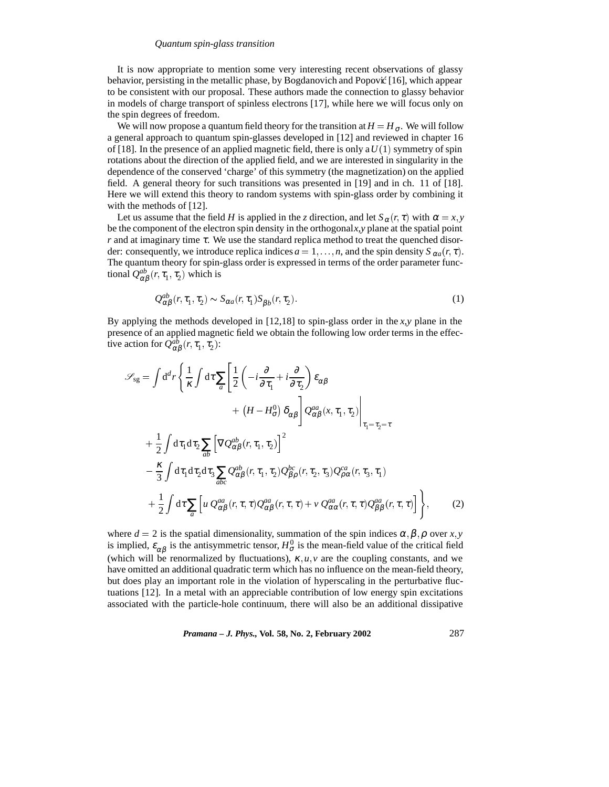#### *Quantum spin-glass transition*

It is now appropriate to mention some very interesting recent observations of glassy behavior, persisting in the metallic phase, by Bogdanovich and Popović  $[16]$ , which appear to be consistent with our proposal. These authors made the connection to glassy behavior in models of charge transport of spinless electrons [17], while here we will focus only on the spin degrees of freedom.

We will now propose a quantum field theory for the transition at  $H = H_{\sigma}$ . We will follow a general approach to quantum spin-glasses developed in [12] and reviewed in chapter 16 of [18]. In the presence of an applied magnetic field, there is only a  $U(1)$  symmetry of spin rotations about the direction of the applied field, and we are interested in singularity in the dependence of the conserved 'charge' of this symmetry (the magnetization) on the applied field. A general theory for such transitions was presented in [19] and in ch. 11 of [18]. Here we will extend this theory to random systems with spin-glass order by combining it with the methods of [12].

Let us assume that the field *H* is applied in the *z* direction, and let  $S_\alpha(r, \tau)$  with  $\alpha = x, y$ be the component of the electron spin density in the orthogonal*x*,*y* plane at the spatial point *r* and at imaginary time <sup>τ</sup>. We use the standard replica method to treat the quenched disorder: consequently, we introduce replica indices  $a = 1, \ldots, n$ , and the spin density  $S_{\alpha a}(r, \tau)$ . The quantum theory for spin-glass order is expressed in terms of the order parameter functional  $Q^{ab}_{\alpha\beta}(r, \tau_1, \tau_2)$  which is

$$
Q_{\alpha\beta}^{ab}(r,\tau_1,\tau_2) \sim S_{\alpha a}(r,\tau_1) S_{\beta b}(r,\tau_2). \tag{1}
$$

By applying the methods developed in [12,18] to spin-glass order in the *x*,*y* plane in the presence of an applied magnetic field we obtain the following low order terms in the effective action for  $Q_{\alpha\beta}^{ab}(r, \tau_1, \tau_2)$ :

$$
\mathcal{S}_{sg} = \int d^d r \left\{ \frac{1}{\kappa} \int d\tau \sum_{a} \left[ \frac{1}{2} \left( -i \frac{\partial}{\partial \tau_1} + i \frac{\partial}{\partial \tau_2} \right) \varepsilon_{\alpha \beta} \right. \right.\left. + (H - H_{\sigma}^0) \delta_{\alpha \beta} \right] \mathcal{Q}_{\alpha \beta}^{aa} (x, \tau_1, \tau_2) \Big|_{\tau_1 = \tau_2 = \tau} \left. + \frac{1}{2} \int d\tau_1 d\tau_2 \sum_{ab} \left[ \nabla \mathcal{Q}_{\alpha \beta}^{ab} (r, \tau_1, \tau_2) \right]^2 \right.\left. - \frac{\kappa}{3} \int d\tau_1 d\tau_2 d\tau_3 \sum_{abc} \mathcal{Q}_{\alpha \beta}^{ab} (r, \tau_1, \tau_2) \mathcal{Q}_{\beta \rho}^{bc} (r, \tau_2, \tau_3) \mathcal{Q}_{\rho \alpha}^{ca} (r, \tau_3, \tau_1) \right.\left. + \frac{1}{2} \int d\tau \sum_{a} \left[ u \mathcal{Q}_{\alpha \beta}^{aa} (r, \tau, \tau) \mathcal{Q}_{\alpha \beta}^{aa} (r, \tau, \tau) + v \mathcal{Q}_{\alpha \alpha}^{aa} (r, \tau, \tau) \mathcal{Q}_{\beta \beta}^{aa} (r, \tau, \tau) \right] \right\}, \tag{2}
$$

where  $d = 2$  is the spatial dimensionality, summation of the spin indices  $\alpha, \beta, \rho$  over *x*, *y* is implied,  $\varepsilon_{\alpha\beta}$  is the antisymmetric tensor,  $H^0_{\sigma}$  is the mean-field value of the critical field (which will be renormalized by fluctuations),  $\kappa, u, v$  are the coupling constants, and we have omitted an additional quadratic term which has no influence on the mean-field theory, but does play an important role in the violation of hyperscaling in the perturbative fluctuations [12]. In a metal with an appreciable contribution of low energy spin excitations associated with the particle-hole continuum, there will also be an additional dissipative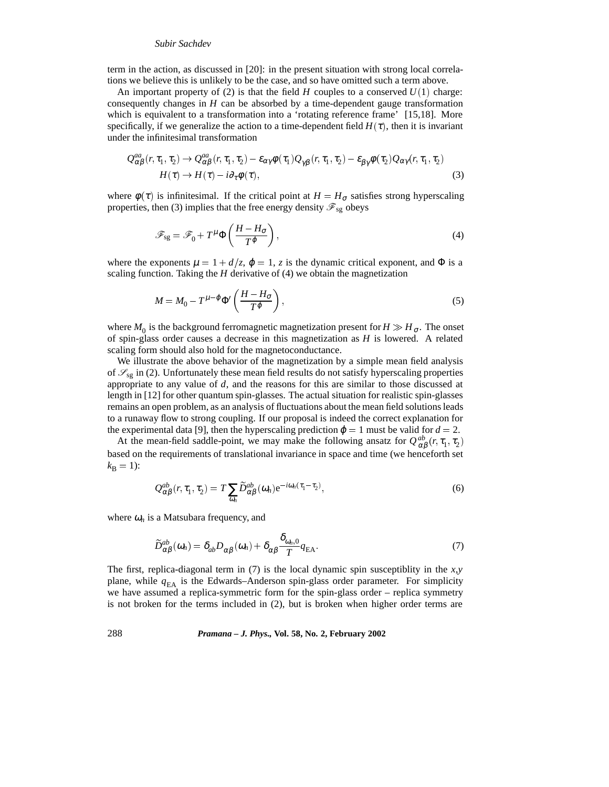#### *Subir Sachdev*

term in the action, as discussed in [20]: in the present situation with strong local correlations we believe this is unlikely to be the case, and so have omitted such a term above.

An important property of (2) is that the field  $H$  couples to a conserved  $U(1)$  charge: consequently changes in *H* can be absorbed by a time-dependent gauge transformation which is equivalent to a transformation into a 'rotating reference frame' [15,18]. More specifically, if we generalize the action to a time-dependent field  $H(\tau)$ , then it is invariant under the infinitesimal transformation

$$
Q_{\alpha\beta}^{aa}(r,\tau_1,\tau_2) \to Q_{\alpha\beta}^{aa}(r,\tau_1,\tau_2) - \varepsilon_{\alpha\gamma}\phi(\tau_1)Q_{\gamma\beta}(r,\tau_1,\tau_2) - \varepsilon_{\beta\gamma}\phi(\tau_2)Q_{\alpha\gamma}(r,\tau_1,\tau_2)
$$
  
\n
$$
H(\tau) \to H(\tau) - i\partial_{\tau}\phi(\tau),
$$
\n(3)

where  $\phi(\tau)$  is infinitesimal. If the critical point at  $H = H_{\sigma}$  satisfies strong hyperscaling properties, then (3) implies that the free energy density  $\mathscr{F}_{sg}$  obeys

$$
\mathscr{F}_{sg} = \mathscr{F}_0 + T^{\mu} \Phi \left( \frac{H - H_{\sigma}}{T^{\varphi}} \right),\tag{4}
$$

where the exponents  $\mu = 1 + d/z$ ,  $\varphi = 1$ , *z* is the dynamic critical exponent, and  $\Phi$  is a scaling function. Taking the *H* derivative of (4) we obtain the magnetization

$$
M = M_0 - T^{\mu - \varphi} \Phi' \left( \frac{H - H_{\sigma}}{T^{\varphi}} \right),
$$
\n<sup>(5)</sup>

where  $M_0$  is the background ferromagnetic magnetization present for  $H \gg H_{\sigma}$ . The onset of spin-glass order causes a decrease in this magnetization as *H* is lowered. A related scaling form should also hold for the magnetoconductance.

We illustrate the above behavior of the magnetization by a simple mean field analysis of  $\mathcal{S}_{sg}$  in (2). Unfortunately these mean field results do not satisfy hyperscaling properties appropriate to any value of  $d$ , and the reasons for this are similar to those discussed at length in [12] for other quantum spin-glasses. The actual situation for realistic spin-glasses remains an open problem, as an analysis of fluctuations about the mean field solutions leads to a runaway flow to strong coupling. If our proposal is indeed the correct explanation for the experimental data [9], then the hyperscaling prediction  $\varphi = 1$  must be valid for  $d = 2$ .

At the mean-field saddle-point, we may make the following ansatz for  $Q_{\alpha\beta}^{ab}(r, \tau_1, \tau_2)$ based on the requirements of translational invariance in space and time (we henceforth set  $k_{\rm B} = 1$ :

$$
Q_{\alpha\beta}^{ab}(r,\tau_1,\tau_2) = T \sum_{\omega_n} \widetilde{D}_{\alpha\beta}^{ab}(\omega_n) e^{-i\omega_n(\tau_1 - \tau_2)},
$$
\n(6)

where  $\omega_n$  is a Matsubara frequency, and

$$
\widetilde{D}_{\alpha\beta}^{ab}(\omega_n) = \delta_{ab} D_{\alpha\beta}(\omega_n) + \delta_{\alpha\beta} \frac{\delta_{\omega_n,0}}{T} q_{\text{EA}}.
$$
\n(7)

The first, replica-diagonal term in (7) is the local dynamic spin susceptiblity in the *x*,*y* plane, while  $q_{EA}$  is the Edwards–Anderson spin-glass order parameter. For simplicity we have assumed a replica-symmetric form for the spin-glass order – replica symmetry is not broken for the terms included in (2), but is broken when higher order terms are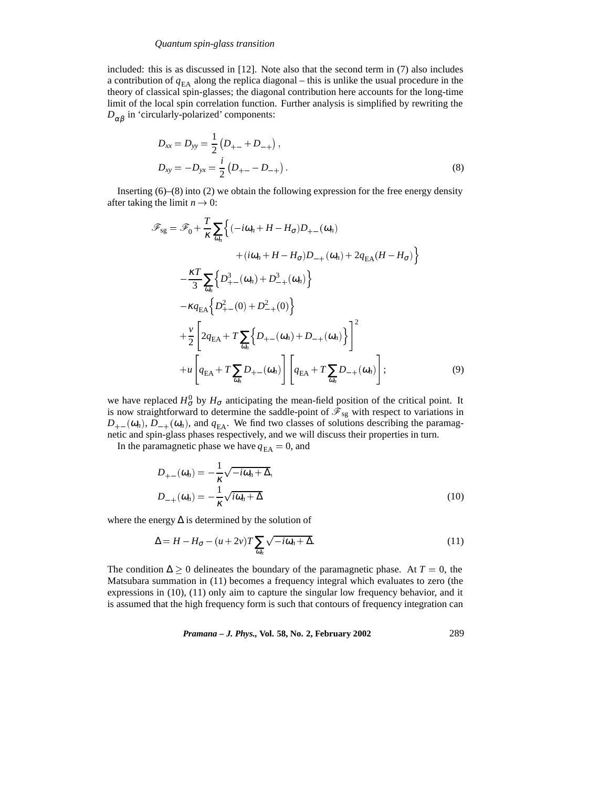## *Quantum spin-glass transition*

included: this is as discussed in [12]. Note also that the second term in (7) also includes a contribution of  $q_{EA}$  along the replica diagonal – this is unlike the usual procedure in the theory of classical spin-glasses; the diagonal contribution here accounts for the long-time limit of the local spin correlation function. Further analysis is simplified by rewriting the  $D_{\alpha\beta}$  in 'circularly-polarized' components:

$$
D_{xx} = D_{yy} = \frac{1}{2} (D_{+-} + D_{-+}),
$$
  
\n
$$
D_{xy} = -D_{yx} = \frac{i}{2} (D_{+-} - D_{-+}).
$$
\n(8)

Inserting (6)–(8) into (2) we obtain the following expression for the free energy density after taking the limit  $n \to 0$ :

$$
\mathscr{F}_{sg} = \mathscr{F}_{0} + \frac{T}{\kappa} \sum_{\omega_{n}} \Big\{ (-i\omega_{n} + H - H_{\sigma}) D_{+-}(\omega_{n}) \n+ (i\omega_{n} + H - H_{\sigma}) D_{-+}(\omega_{n}) + 2q_{EA} (H - H_{\sigma}) \Big\} \n- \frac{\kappa T}{3} \sum_{\omega_{n}} \Big\{ D_{+-}^{3}(\omega_{n}) + D_{-+}^{3}(\omega_{n}) \Big\} \n- \kappa q_{EA} \Big\{ D_{+-}^{2}(0) + D_{-+}^{2}(0) \Big\} \n+ \frac{\nu}{2} \Bigg[ 2q_{EA} + T \sum_{\omega_{n}} \Big\{ D_{+-}(\omega_{n}) + D_{-+}(\omega_{n}) \Big\} \Bigg]^{2} \n+ u \Bigg[ q_{EA} + T \sum_{\omega_{n}} D_{+-}(\omega_{n}) \Bigg] \Bigg[ q_{EA} + T \sum_{\omega_{n}} D_{-+}(\omega_{n}) \Bigg];
$$
\n(9)

we have replaced  $H^0_{\sigma}$  by  $H_{\sigma}$  anticipating the mean-field position of the critical point. It is now straightforward to determine the saddle-point of  $\mathcal{F}_{sg}$  with respect to variations in  $D_{+-}(\omega_n)$ ,  $D_{-+}(\omega_n)$ , and  $q_{EA}$ . We find two classes of solutions describing the paramagnetic and spin-glass phases respectively, and we will discuss their properties in turn.

In the paramagnetic phase we have  $q_{EA} = 0$ , and

$$
D_{+-}(\omega_n) = -\frac{1}{\kappa} \sqrt{-i\omega_n + \Delta},
$$
  
\n
$$
D_{-+}(\omega_n) = -\frac{1}{\kappa} \sqrt{i\omega_n + \Delta}
$$
\n(10)

where the energy  $\Delta$  is determined by the solution of

$$
\Delta = H - H_{\sigma} - (u + 2v)T \sum_{\omega_n} \sqrt{-i\omega_n + \Delta}.
$$
\n(11)

The condition  $\Delta \geq 0$  delineates the boundary of the paramagnetic phase. At  $T = 0$ , the Matsubara summation in (11) becomes a frequency integral which evaluates to zero (the expressions in (10), (11) only aim to capture the singular low frequency behavior, and it is assumed that the high frequency form is such that contours of frequency integration can

*Pramana – J. Phys.,* **Vol. 58, No. 2, February 2002** 289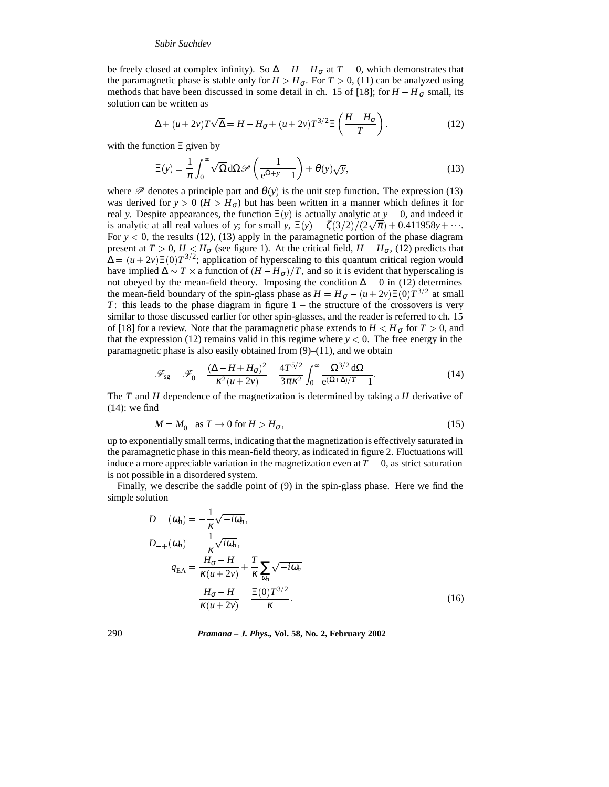#### *Subir Sachdev*

be freely closed at complex infinity). So  $\Delta = H - H_{\sigma}$  at  $T = 0$ , which demonstrates that the paramagnetic phase is stable only for  $H > H_{\sigma}$ . For  $T > 0$ , (11) can be analyzed using methods that have been discussed in some detail in ch. 15 of [18]; for  $H - H_{\sigma}$  small, its solution can be written as

$$
\Delta + (u + 2v)T\sqrt{\Delta} = H - H_{\sigma} + (u + 2v)T^{3/2}\Xi\left(\frac{H - H_{\sigma}}{T}\right),\tag{12}
$$

with the function Ξ given by

$$
\Xi(y) = \frac{1}{\pi} \int_0^\infty \sqrt{\Omega} d\Omega \mathscr{P}\left(\frac{1}{e^{\Omega + y} - 1}\right) + \theta(y)\sqrt{y},\tag{13}
$$

where  $\mathscr P$  denotes a principle part and  $\theta(y)$  is the unit step function. The expression (13) was derived for  $y > 0$  ( $H > H_{\sigma}$ ) but has been written in a manner which defines it for real *y*. Despite appearances, the function  $\Xi(y)$  is actually analytic at  $y = 0$ , and indeed it is analytic at all real values of *y*; for small *y*,  $\Xi(y) = \frac{\zeta(3/2)}{2\sqrt{\pi}} + 0.411958y + \cdots$ . For  $y < 0$ , the results (12), (13) apply in the paramagnetic portion of the phase diagram present at  $T > 0$ ,  $H < H_{\sigma}$  (see figure 1). At the critical field,  $H = H_{\sigma}$ , (12) predicts that  $\Delta = (u + 2v) \Xi(0) T^{3/2}$ ; application of hyperscaling to this quantum critical region would have implied  $\Delta \sim T \times a$  function of  $(H - H_{\sigma})/T$ , and so it is evident that hyperscaling is not obeyed by the mean-field theory. Imposing the condition  $\Delta = 0$  in (12) determines the mean-field boundary of the spin-glass phase as  $H = H_{\sigma} - (u + 2v) \Xi(0) T^{3/2}$  at small *T*: this leads to the phase diagram in figure 1 – the structure of the crossovers is very similar to those discussed earlier for other spin-glasses, and the reader is referred to ch. 15 of [18] for a review. Note that the paramagnetic phase extends to  $H < H_{\sigma}$  for  $T > 0$ , and that the expression (12) remains valid in this regime where  $y < 0$ . The free energy in the paramagnetic phase is also easily obtained from  $(9)$ – $(11)$ , and we obtain

$$
\mathscr{F}_{sg} = \mathscr{F}_0 - \frac{(\Delta - H + H_{\sigma})^2}{\kappa^2 (u + 2v)} - \frac{4T^{5/2}}{3\pi\kappa^2} \int_0^{\infty} \frac{\Omega^{3/2} d\Omega}{e^{(\Omega + \Delta)/T} - 1}.
$$
 (14)

The *T* and *H* dependence of the magnetization is determined by taking a *H* derivative of (14): we find

$$
M = M_0 \quad \text{as } T \to 0 \text{ for } H > H_\sigma,
$$
\n<sup>(15)</sup>

up to exponentially small terms, indicating that the magnetization is effectively saturated in the paramagnetic phase in this mean-field theory, as indicated in figure 2. Fluctuations will induce a more appreciable variation in the magnetization even at  $T = 0$ , as strict saturation is not possible in a disordered system.

Finally, we describe the saddle point of (9) in the spin-glass phase. Here we find the simple solution

$$
D_{+-}(\omega_n) = -\frac{1}{\kappa} \sqrt{-i\omega_n},
$$
  
\n
$$
D_{-+}(\omega_n) = -\frac{1}{\kappa} \sqrt{i\omega_n},
$$
  
\n
$$
q_{\text{EA}} = \frac{H_{\sigma} - H}{\kappa (u + 2v)} + \frac{T}{\kappa} \sum_{\omega_n} \sqrt{-i\omega_n}
$$
  
\n
$$
= \frac{H_{\sigma} - H}{\kappa (u + 2v)} - \frac{\Xi(0)T^{3/2}}{\kappa}.
$$
\n(16)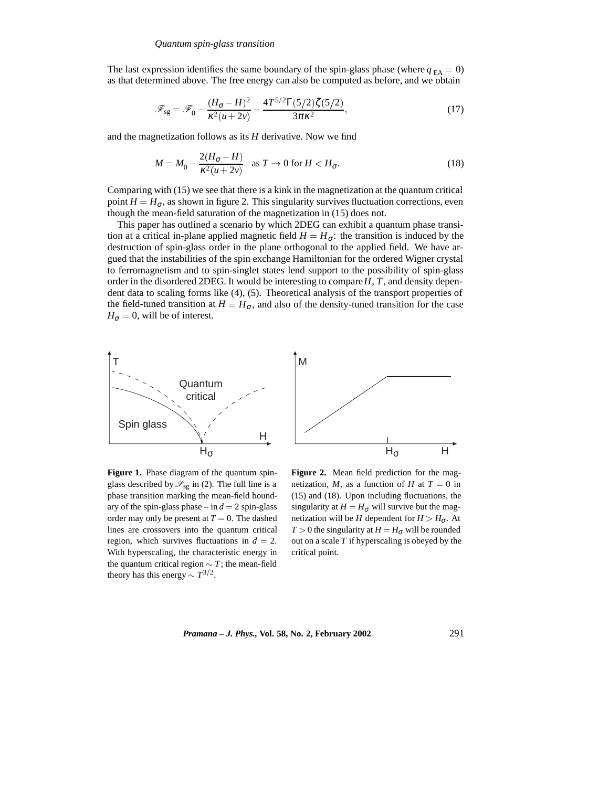The last expression identifies the same boundary of the spin-glass phase (where  $q_{FA} = 0$ ) as that determined above. The free energy can also be computed as before, and we obtain

$$
\mathcal{F}_{sg} = \mathcal{F}_0 - \frac{(H_{\sigma} - H)^2}{\kappa^2 (u + 2v)} - \frac{4T^{5/2} \Gamma(5/2) \zeta(5/2)}{3\pi \kappa^2},\tag{17}
$$

and the magnetization follows as its *H* derivative. Now we find

$$
M = M_0 - \frac{2(H_{\sigma} - H)}{\kappa^2 (u + 2v)} \quad \text{as } T \to 0 \text{ for } H < H_{\sigma}.
$$
\n<sup>(18)</sup>

Comparing with (15) we see that there is a kink in the magnetization at the quantum critical point  $H = H_{\sigma}$ , as shown in figure 2. This singularity survives fluctuation corrections, even though the mean-field saturation of the magnetization in (15) does not.

This paper has outlined a scenario by which 2DEG can exhibit a quantum phase transition at a critical in-plane applied magnetic field  $H = H_{\sigma}$ : the transition is induced by the destruction of spin-glass order in the plane orthogonal to the applied field. We have argued that the instabilities of the spin exchange Hamiltonian for the ordered Wigner crystal to ferromagnetism and to spin-singlet states lend support to the possibility of spin-glass order in the disordered 2DEG. It would be interesting to compare*H*, *T*, and density dependent data to scaling forms like (4), (5). Theoretical analysis of the transport properties of the field-tuned transition at  $H = H_{\sigma}$ , and also of the density-tuned transition for the case  $H_{\sigma} = 0$ , will be of interest.



**Figure 1.** Phase diagram of the quantum spinglass described by  $\mathcal{S}_{sg}$  in (2). The full line is a phase transition marking the mean-field boundary of the spin-glass phase – in  $d = 2$  spin-glass order may only be present at  $T = 0$ . The dashed lines are crossovers into the quantum critical region, which survives fluctuations in  $d = 2$ . With hyperscaling, the characteristic energy in the quantum critical region  $\sim T$ ; the mean-field theory has this energy  $\sim T^{3/2}$ .

**Figure 2.** Mean field prediction for the magnetization, *M*, as a function of *H* at  $T = 0$  in (15) and (18). Upon including fluctuations, the singularity at  $H = H_{\sigma}$  will survive but the magnetization will be *H* dependent for  $H > H_{\sigma}$ . At *T* > 0 the singularity at *H* =  $H_{\sigma}$  will be rounded out on a scale *T* if hyperscaling is obeyed by the critical point.